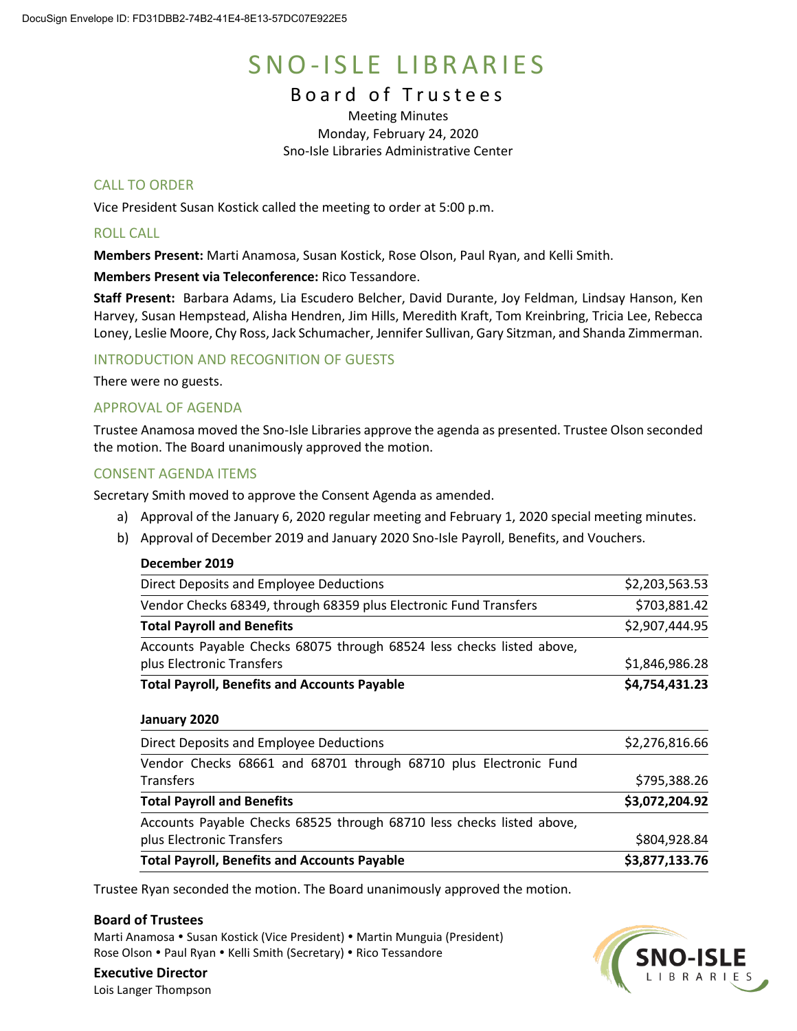# SNO-ISLE LIBRARIES

# Board of Trustees

Meeting Minutes Monday, February 24, 2020 Sno-Isle Libraries Administrative Center

# CALL TO ORDER

Vice President Susan Kostick called the meeting to order at 5:00 p.m.

# ROLL CALL

**Members Present:** Marti Anamosa, Susan Kostick, Rose Olson, Paul Ryan, and Kelli Smith.

**Members Present via Teleconference:** Rico Tessandore.

**Staff Present:** Barbara Adams, Lia Escudero Belcher, David Durante, Joy Feldman, Lindsay Hanson, Ken Harvey, Susan Hempstead, Alisha Hendren, Jim Hills, Meredith Kraft, Tom Kreinbring, Tricia Lee, Rebecca Loney, Leslie Moore, Chy Ross, Jack Schumacher, Jennifer Sullivan, Gary Sitzman, and Shanda Zimmerman.

## INTRODUCTION AND RECOGNITION OF GUESTS

There were no guests.

# APPROVAL OF AGENDA

Trustee Anamosa moved the Sno-Isle Libraries approve the agenda as presented. Trustee Olson seconded the motion. The Board unanimously approved the motion.

## CONSENT AGENDA ITEMS

Secretary Smith moved to approve the Consent Agenda as amended.

- a) Approval of the January 6, 2020 regular meeting and February 1, 2020 special meeting minutes.
- b) Approval of December 2019 and January 2020 Sno-Isle Payroll, Benefits, and Vouchers.

#### **December 2019**

| Direct Deposits and Employee Deductions                               | \$2,203,563.53 |
|-----------------------------------------------------------------------|----------------|
| Vendor Checks 68349, through 68359 plus Electronic Fund Transfers     | \$703,881.42   |
| <b>Total Payroll and Benefits</b>                                     | \$2,907,444.95 |
| Accounts Payable Checks 68075 through 68524 less checks listed above, |                |
| plus Electronic Transfers                                             | \$1,846,986.28 |
| <b>Total Payroll, Benefits and Accounts Payable</b>                   | \$4,754,431.23 |
| January 2020                                                          |                |
| Direct Deposits and Employee Deductions                               | \$2,276,816.66 |
| Vendor Checks 68661 and 68701 through 68710 plus Electronic Fund      |                |
| <b>Transfers</b>                                                      | \$795,388.26   |

| <b>Total Payroll and Benefits</b>                                     | \$3,072,204.92 |
|-----------------------------------------------------------------------|----------------|
| Accounts Payable Checks 68525 through 68710 less checks listed above, |                |
| plus Electronic Transfers                                             | \$804,928.84   |
| <b>Total Payroll, Benefits and Accounts Payable</b>                   | \$3,877,133.76 |

Trustee Ryan seconded the motion. The Board unanimously approved the motion.

## **Board of Trustees**

Marti Anamosa • Susan Kostick (Vice President) • Martin Munguia (President) Rose Olson . Paul Ryan . Kelli Smith (Secretary) . Rico Tessandore



**Executive Director** Lois Langer Thompson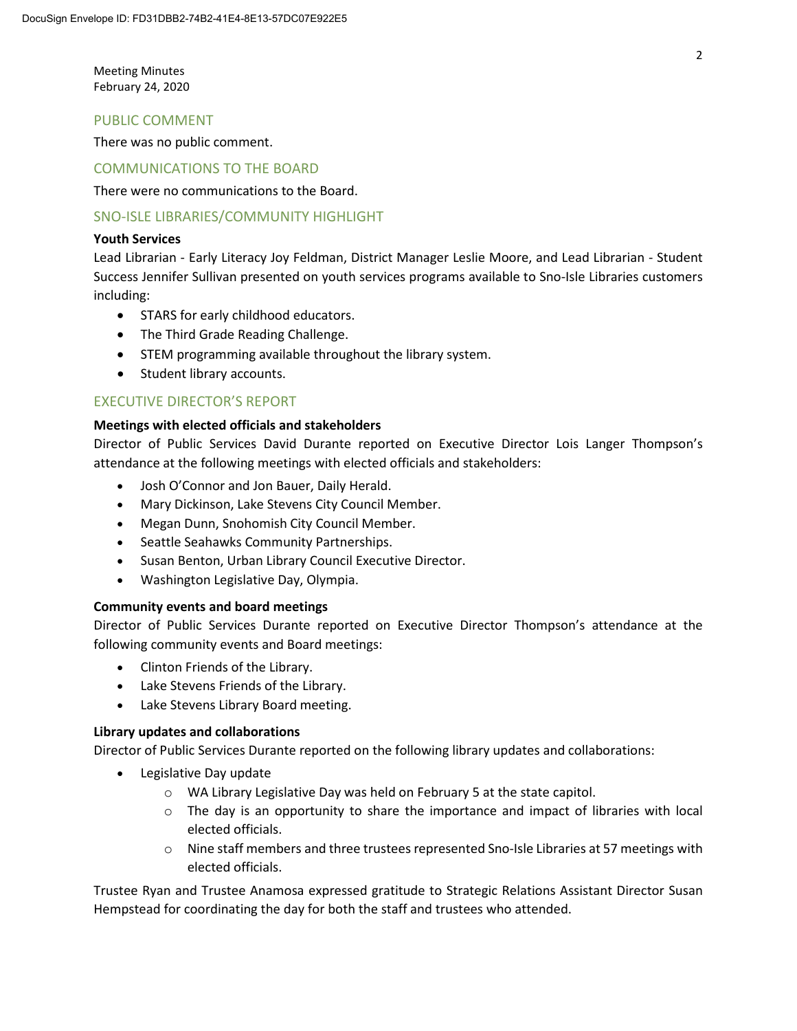Meeting Minutes February 24, 2020

#### PUBLIC COMMENT

There was no public comment.

#### COMMUNICATIONS TO THE BOARD

There were no communications to the Board.

## SNO-ISLE LIBRARIES/COMMUNITY HIGHLIGHT

#### **Youth Services**

Lead Librarian - Early Literacy Joy Feldman, District Manager Leslie Moore, and Lead Librarian - Student Success Jennifer Sullivan presented on youth services programs available to Sno-Isle Libraries customers including:

- STARS for early childhood educators.
- The Third Grade Reading Challenge.
- STEM programming available throughout the library system.
- Student library accounts.

# EXECUTIVE DIRECTOR'S REPORT

#### **Meetings with elected officials and stakeholders**

Director of Public Services David Durante reported on Executive Director Lois Langer Thompson's attendance at the following meetings with elected officials and stakeholders:

- Josh O'Connor and Jon Bauer, Daily Herald.
- Mary Dickinson, Lake Stevens City Council Member.
- Megan Dunn, Snohomish City Council Member.
- Seattle Seahawks Community Partnerships.
- Susan Benton, Urban Library Council Executive Director.
- Washington Legislative Day, Olympia.

## **Community events and board meetings**

Director of Public Services Durante reported on Executive Director Thompson's attendance at the following community events and Board meetings:

- Clinton Friends of the Library.
- Lake Stevens Friends of the Library.
- Lake Stevens Library Board meeting.

#### **Library updates and collaborations**

Director of Public Services Durante reported on the following library updates and collaborations:

- Legislative Day update
	- o WA Library Legislative Day was held on February 5 at the state capitol.
	- $\circ$  The day is an opportunity to share the importance and impact of libraries with local elected officials.
	- o Nine staff members and three trustees represented Sno-Isle Libraries at 57 meetings with elected officials.

Trustee Ryan and Trustee Anamosa expressed gratitude to Strategic Relations Assistant Director Susan Hempstead for coordinating the day for both the staff and trustees who attended.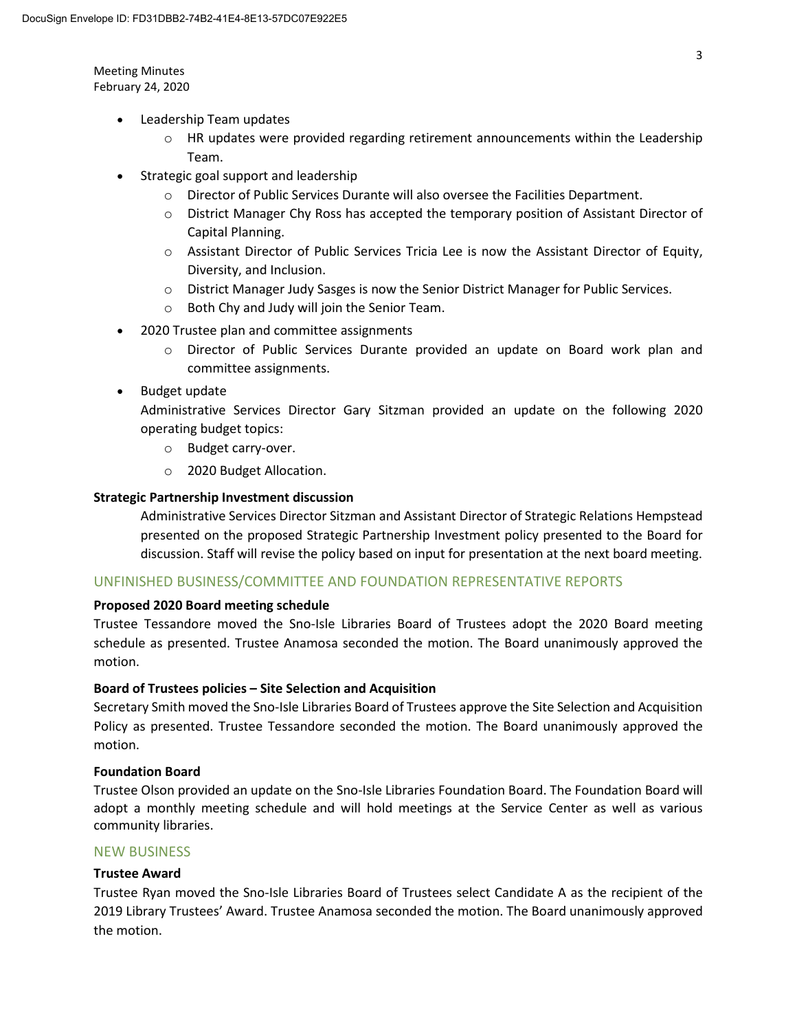Meeting Minutes February 24, 2020

- Leadership Team updates
	- $\circ$  HR updates were provided regarding retirement announcements within the Leadership Team.
- Strategic goal support and leadership
	- o Director of Public Services Durante will also oversee the Facilities Department.
	- o District Manager Chy Ross has accepted the temporary position of Assistant Director of Capital Planning.
	- $\circ$  Assistant Director of Public Services Tricia Lee is now the Assistant Director of Equity, Diversity, and Inclusion.
	- o District Manager Judy Sasges is now the Senior District Manager for Public Services.
	- o Both Chy and Judy will join the Senior Team.
- 2020 Trustee plan and committee assignments
	- o Director of Public Services Durante provided an update on Board work plan and committee assignments.
- Budget update

Administrative Services Director Gary Sitzman provided an update on the following 2020 operating budget topics:

- o Budget carry-over.
- o 2020 Budget Allocation.

## **Strategic Partnership Investment discussion**

Administrative Services Director Sitzman and Assistant Director of Strategic Relations Hempstead presented on the proposed Strategic Partnership Investment policy presented to the Board for discussion. Staff will revise the policy based on input for presentation at the next board meeting.

## UNFINISHED BUSINESS/COMMITTEE AND FOUNDATION REPRESENTATIVE REPORTS

## **Proposed 2020 Board meeting schedule**

Trustee Tessandore moved the Sno-Isle Libraries Board of Trustees adopt the 2020 Board meeting schedule as presented. Trustee Anamosa seconded the motion. The Board unanimously approved the motion.

## **Board of Trustees policies – Site Selection and Acquisition**

Secretary Smith moved the Sno-Isle Libraries Board of Trustees approve the Site Selection and Acquisition Policy as presented. Trustee Tessandore seconded the motion. The Board unanimously approved the motion.

## **Foundation Board**

Trustee Olson provided an update on the Sno-Isle Libraries Foundation Board. The Foundation Board will adopt a monthly meeting schedule and will hold meetings at the Service Center as well as various community libraries.

# NEW BUSINESS

## **Trustee Award**

Trustee Ryan moved the Sno-Isle Libraries Board of Trustees select Candidate A as the recipient of the 2019 Library Trustees' Award. Trustee Anamosa seconded the motion. The Board unanimously approved the motion.